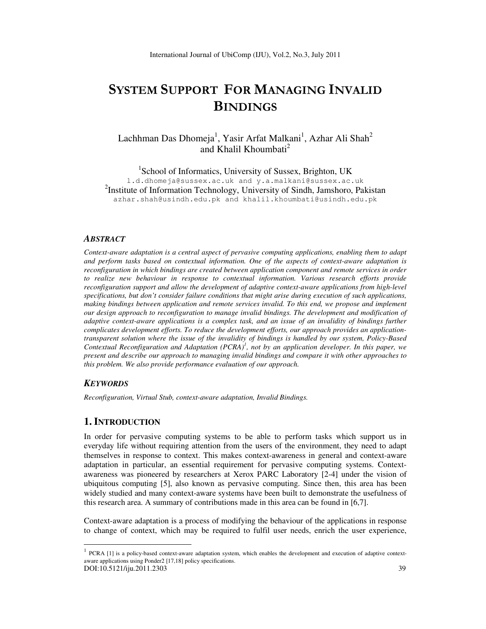# SYSTEM SUPPORT FOR MANAGING INVALID **BINDINGS**

Lachhman Das Dhomeja<sup>1</sup>, Yasir Arfat Malkani<sup>1</sup>, Azhar Ali Shah<sup>2</sup> and Khalil Khoumbati<sup>2</sup>

<sup>1</sup>School of Informatics, University of Sussex, Brighton, UK l.d.dhomeja@sussex.ac.uk and y.a.malkani@sussex.ac.uk <sup>2</sup>Institute of Information Technology, University of Sindh, Jamshoro, Pakistan azhar.shah@usindh.edu.pk and khalil.khoumbati@usindh.edu.pk

#### *ABSTRACT*

*Context-aware adaptation is a central aspect of pervasive computing applications, enabling them to adapt and perform tasks based on contextual information. One of the aspects of context-aware adaptation is reconfiguration in which bindings are created between application component and remote services in order to realize new behaviour in response to contextual information. Various research efforts provide reconfiguration support and allow the development of adaptive context-aware applications from high-level specifications, but don't consider failure conditions that might arise during execution of such applications, making bindings between application and remote services invalid. To this end, we propose and implement our design approach to reconfiguration to manage invalid bindings. The development and modification of adaptive context-aware applications is a complex task, and an issue of an invalidity of bindings further complicates development efforts. To reduce the development efforts, our approach provides an applicationtransparent solution where the issue of the invalidity of bindings is handled by our system, Policy-Based Contextual Reconfiguration and Adaptation (PCRA)<sup>1</sup> , not by an application developer. In this paper, we present and describe our approach to managing invalid bindings and compare it with other approaches to this problem. We also provide performance evaluation of our approach.* 

#### *KEYWORDS*

 $\overline{a}$ 

*Reconfiguration, Virtual Stub, context-aware adaptation, Invalid Bindings.* 

#### **1. INTRODUCTION**

In order for pervasive computing systems to be able to perform tasks which support us in everyday life without requiring attention from the users of the environment, they need to adapt themselves in response to context. This makes context-awareness in general and context-aware adaptation in particular, an essential requirement for pervasive computing systems. Contextawareness was pioneered by researchers at Xerox PARC Laboratory [2-4] under the vision of ubiquitous computing [5], also known as pervasive computing. Since then, this area has been widely studied and many context-aware systems have been built to demonstrate the usefulness of this research area. A summary of contributions made in this area can be found in [6,7].

Context-aware adaptation is a process of modifying the behaviour of the applications in response to change of context, which may be required to fulfil user needs, enrich the user experience,

DOI:10.5121/iju.2011.2303 39  $1$  PCRA [1] is a policy-based context-aware adaptation system, which enables the development and execution of adaptive contextaware applications using Ponder2 [17,18] policy specifications.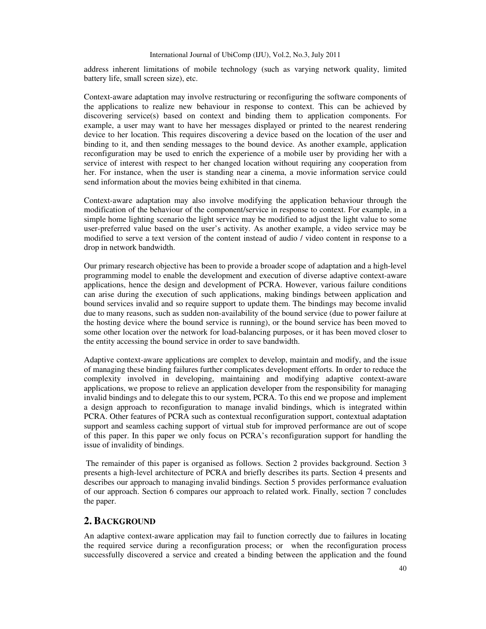address inherent limitations of mobile technology (such as varying network quality, limited battery life, small screen size), etc.

Context-aware adaptation may involve restructuring or reconfiguring the software components of the applications to realize new behaviour in response to context. This can be achieved by discovering service(s) based on context and binding them to application components. For example, a user may want to have her messages displayed or printed to the nearest rendering device to her location. This requires discovering a device based on the location of the user and binding to it, and then sending messages to the bound device. As another example, application reconfiguration may be used to enrich the experience of a mobile user by providing her with a service of interest with respect to her changed location without requiring any cooperation from her. For instance, when the user is standing near a cinema, a movie information service could send information about the movies being exhibited in that cinema.

Context-aware adaptation may also involve modifying the application behaviour through the modification of the behaviour of the component/service in response to context. For example, in a simple home lighting scenario the light service may be modified to adjust the light value to some user-preferred value based on the user's activity. As another example, a video service may be modified to serve a text version of the content instead of audio / video content in response to a drop in network bandwidth.

Our primary research objective has been to provide a broader scope of adaptation and a high-level programming model to enable the development and execution of diverse adaptive context-aware applications, hence the design and development of PCRA. However, various failure conditions can arise during the execution of such applications, making bindings between application and bound services invalid and so require support to update them. The bindings may become invalid due to many reasons, such as sudden non-availability of the bound service (due to power failure at the hosting device where the bound service is running), or the bound service has been moved to some other location over the network for load-balancing purposes, or it has been moved closer to the entity accessing the bound service in order to save bandwidth.

Adaptive context-aware applications are complex to develop, maintain and modify, and the issue of managing these binding failures further complicates development efforts. In order to reduce the complexity involved in developing, maintaining and modifying adaptive context-aware applications, we propose to relieve an application developer from the responsibility for managing invalid bindings and to delegate this to our system, PCRA. To this end we propose and implement a design approach to reconfiguration to manage invalid bindings, which is integrated within PCRA. Other features of PCRA such as contextual reconfiguration support, contextual adaptation support and seamless caching support of virtual stub for improved performance are out of scope of this paper. In this paper we only focus on PCRA's reconfiguration support for handling the issue of invalidity of bindings.

 The remainder of this paper is organised as follows. Section 2 provides background. Section 3 presents a high-level architecture of PCRA and briefly describes its parts. Section 4 presents and describes our approach to managing invalid bindings. Section 5 provides performance evaluation of our approach. Section 6 compares our approach to related work. Finally, section 7 concludes the paper.

# **2. BACKGROUND**

An adaptive context-aware application may fail to function correctly due to failures in locating the required service during a reconfiguration process; or when the reconfiguration process successfully discovered a service and created a binding between the application and the found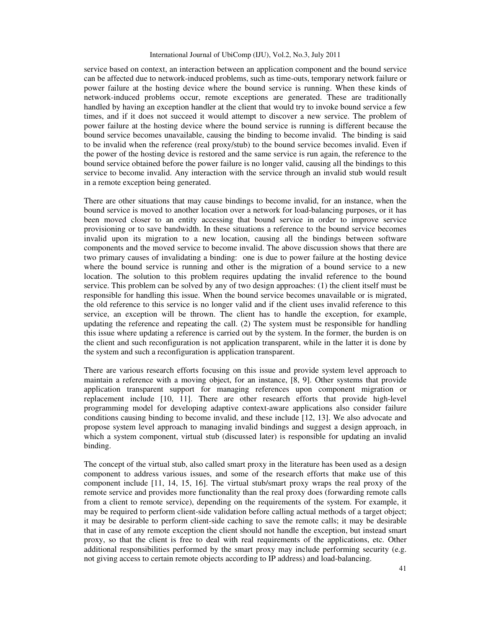service based on context, an interaction between an application component and the bound service can be affected due to network-induced problems, such as time-outs, temporary network failure or power failure at the hosting device where the bound service is running. When these kinds of network-induced problems occur, remote exceptions are generated. These are traditionally handled by having an exception handler at the client that would try to invoke bound service a few times, and if it does not succeed it would attempt to discover a new service. The problem of power failure at the hosting device where the bound service is running is different because the bound service becomes unavailable, causing the binding to become invalid. The binding is said to be invalid when the reference (real proxy/stub) to the bound service becomes invalid. Even if the power of the hosting device is restored and the same service is run again, the reference to the bound service obtained before the power failure is no longer valid, causing all the bindings to this service to become invalid. Any interaction with the service through an invalid stub would result in a remote exception being generated.

There are other situations that may cause bindings to become invalid, for an instance, when the bound service is moved to another location over a network for load-balancing purposes, or it has been moved closer to an entity accessing that bound service in order to improve service provisioning or to save bandwidth. In these situations a reference to the bound service becomes invalid upon its migration to a new location, causing all the bindings between software components and the moved service to become invalid. The above discussion shows that there are two primary causes of invalidating a binding: one is due to power failure at the hosting device where the bound service is running and other is the migration of a bound service to a new location. The solution to this problem requires updating the invalid reference to the bound service. This problem can be solved by any of two design approaches: (1) the client itself must be responsible for handling this issue. When the bound service becomes unavailable or is migrated, the old reference to this service is no longer valid and if the client uses invalid reference to this service, an exception will be thrown. The client has to handle the exception, for example, updating the reference and repeating the call. (2) The system must be responsible for handling this issue where updating a reference is carried out by the system. In the former, the burden is on the client and such reconfiguration is not application transparent, while in the latter it is done by the system and such a reconfiguration is application transparent.

There are various research efforts focusing on this issue and provide system level approach to maintain a reference with a moving object, for an instance, [8, 9]. Other systems that provide application transparent support for managing references upon component migration or replacement include [10, 11]. There are other research efforts that provide high-level programming model for developing adaptive context-aware applications also consider failure conditions causing binding to become invalid, and these include [12, 13]. We also advocate and propose system level approach to managing invalid bindings and suggest a design approach, in which a system component, virtual stub (discussed later) is responsible for updating an invalid binding.

The concept of the virtual stub, also called smart proxy in the literature has been used as a design component to address various issues, and some of the research efforts that make use of this component include [11, 14, 15, 16]. The virtual stub/smart proxy wraps the real proxy of the remote service and provides more functionality than the real proxy does (forwarding remote calls from a client to remote service), depending on the requirements of the system. For example, it may be required to perform client-side validation before calling actual methods of a target object; it may be desirable to perform client-side caching to save the remote calls; it may be desirable that in case of any remote exception the client should not handle the exception, but instead smart proxy, so that the client is free to deal with real requirements of the applications, etc. Other additional responsibilities performed by the smart proxy may include performing security (e.g. not giving access to certain remote objects according to IP address) and load-balancing.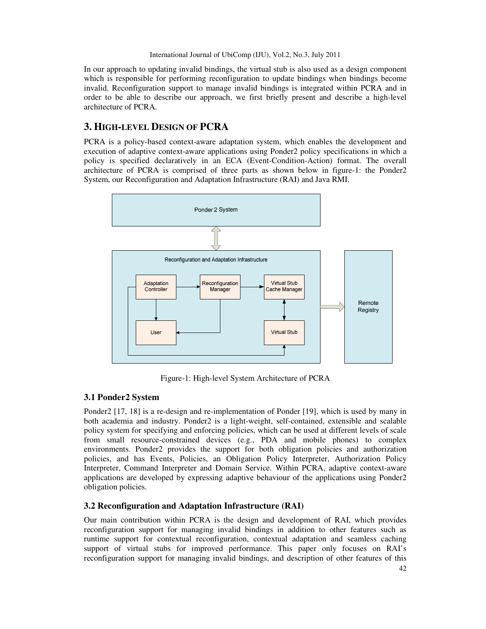In our approach to updating invalid bindings, the virtual stub is also used as a design component which is responsible for performing reconfiguration to update bindings when bindings become invalid. Reconfiguration support to manage invalid bindings is integrated within PCRA and in order to be able to describe our approach, we first briefly present and describe a high-level architecture of PCRA.

# **3. HIGH-LEVEL DESIGN OF PCRA**

PCRA is a policy-based context-aware adaptation system, which enables the development and execution of adaptive context-aware applications using Ponder2 policy specifications in which a policy is specified declaratively in an ECA (Event-Condition-Action) format. The overall architecture of PCRA is comprised of three parts as shown below in figure-1: the Ponder2 System, our Reconfiguration and Adaptation Infrastructure (RAI) and Java RMI.



Figure-1: High-level System Architecture of PCRA

# **3.1 Ponder2 System**

Ponder2 [17, 18] is a re-design and re-implementation of Ponder [19], which is used by many in both academia and industry. Ponder2 is a light-weight, self-contained, extensible and scalable policy system for specifying and enforcing policies, which can be used at different levels of scale from small resource-constrained devices (e.g., PDA and mobile phones) to complex environments. Ponder2 provides the support for both obligation policies and authorization policies, and has Events, Policies, an Obligation Policy Interpreter, Authorization Policy Interpreter, Command Interpreter and Domain Service. Within PCRA, adaptive context-aware applications are developed by expressing adaptive behaviour of the applications using Ponder2 obligation policies.

## **3.2 Reconfiguration and Adaptation Infrastructure (RAI)**

Our main contribution within PCRA is the design and development of RAI, which provides reconfiguration support for managing invalid bindings in addition to other features such as runtime support for contextual reconfiguration, contextual adaptation and seamless caching support of virtual stubs for improved performance. This paper only focuses on RAI's reconfiguration support for managing invalid bindings, and description of other features of this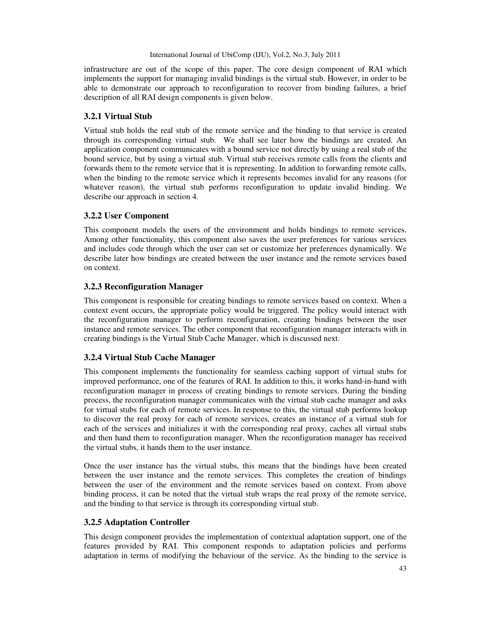infrastructure are out of the scope of this paper. The core design component of RAI which implements the support for managing invalid bindings is the virtual stub. However, in order to be able to demonstrate our approach to reconfiguration to recover from binding failures, a brief description of all RAI design components is given below.

# **3.2.1 Virtual Stub**

Virtual stub holds the real stub of the remote service and the binding to that service is created through its corresponding virtual stub. We shall see later how the bindings are created. An application component communicates with a bound service not directly by using a real stub of the bound service, but by using a virtual stub. Virtual stub receives remote calls from the clients and forwards them to the remote service that it is representing. In addition to forwarding remote calls, when the binding to the remote service which it represents becomes invalid for any reasons (for whatever reason), the virtual stub performs reconfiguration to update invalid binding. We describe our approach in section 4.

# **3.2.2 User Component**

This component models the users of the environment and holds bindings to remote services. Among other functionality, this component also saves the user preferences for various services and includes code through which the user can set or customize her preferences dynamically. We describe later how bindings are created between the user instance and the remote services based on context.

# **3.2.3 Reconfiguration Manager**

This component is responsible for creating bindings to remote services based on context. When a context event occurs, the appropriate policy would be triggered. The policy would interact with the reconfiguration manager to perform reconfiguration, creating bindings between the user instance and remote services. The other component that reconfiguration manager interacts with in creating bindings is the Virtual Stub Cache Manager, which is discussed next.

# **3.2.4 Virtual Stub Cache Manager**

This component implements the functionality for seamless caching support of virtual stubs for improved performance, one of the features of RAI. In addition to this, it works hand-in-hand with reconfiguration manager in process of creating bindings to remote services. During the binding process, the reconfiguration manager communicates with the virtual stub cache manager and asks for virtual stubs for each of remote services. In response to this, the virtual stub performs lookup to discover the real proxy for each of remote services, creates an instance of a virtual stub for each of the services and initializes it with the corresponding real proxy, caches all virtual stubs and then hand them to reconfiguration manager. When the reconfiguration manager has received the virtual stubs, it hands them to the user instance.

Once the user instance has the virtual stubs, this means that the bindings have been created between the user instance and the remote services. This completes the creation of bindings between the user of the environment and the remote services based on context. From above binding process, it can be noted that the virtual stub wraps the real proxy of the remote service, and the binding to that service is through its corresponding virtual stub.

## **3.2.5 Adaptation Controller**

This design component provides the implementation of contextual adaptation support, one of the features provided by RAI. This component responds to adaptation policies and performs adaptation in terms of modifying the behaviour of the service. As the binding to the service is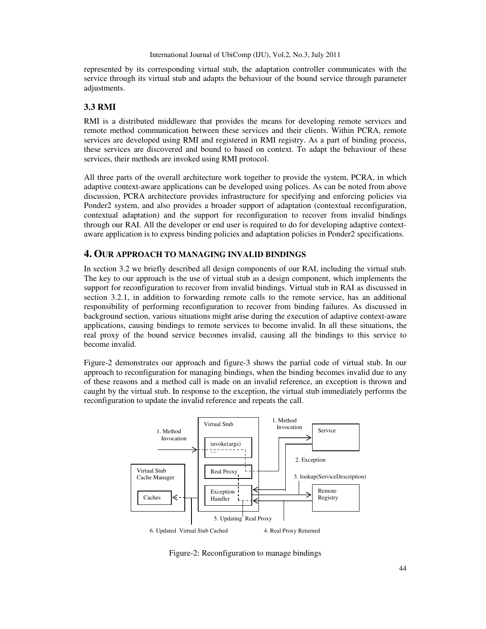represented by its corresponding virtual stub, the adaptation controller communicates with the service through its virtual stub and adapts the behaviour of the bound service through parameter adjustments.

## **3.3 RMI**

RMI is a distributed middleware that provides the means for developing remote services and remote method communication between these services and their clients. Within PCRA, remote services are developed using RMI and registered in RMI registry. As a part of binding process, these services are discovered and bound to based on context. To adapt the behaviour of these services, their methods are invoked using RMI protocol.

All three parts of the overall architecture work together to provide the system, PCRA, in which adaptive context-aware applications can be developed using polices. As can be noted from above discussion, PCRA architecture provides infrastructure for specifying and enforcing policies via Ponder2 system, and also provides a broader support of adaptation (contextual reconfiguration, contextual adaptation) and the support for reconfiguration to recover from invalid bindings through our RAI. All the developer or end user is required to do for developing adaptive contextaware application is to express binding policies and adaptation policies in Ponder2 specifications.

## **4. OUR APPROACH TO MANAGING INVALID BINDINGS**

In section 3.2 we briefly described all design components of our RAI, including the virtual stub. The key to our approach is the use of virtual stub as a design component, which implements the support for reconfiguration to recover from invalid bindings. Virtual stub in RAI as discussed in section 3.2.1, in addition to forwarding remote calls to the remote service, has an additional responsibility of performing reconfiguration to recover from binding failures. As discussed in background section, various situations might arise during the execution of adaptive context-aware applications, causing bindings to remote services to become invalid. In all these situations, the real proxy of the bound service becomes invalid, causing all the bindings to this service to become invalid.

Figure-2 demonstrates our approach and figure-3 shows the partial code of virtual stub. In our approach to reconfiguration for managing bindings, when the binding becomes invalid due to any of these reasons and a method call is made on an invalid reference, an exception is thrown and caught by the virtual stub. In response to the exception, the virtual stub immediately performs the reconfiguration to update the invalid reference and repeats the call.



Figure-2: Reconfiguration to manage bindings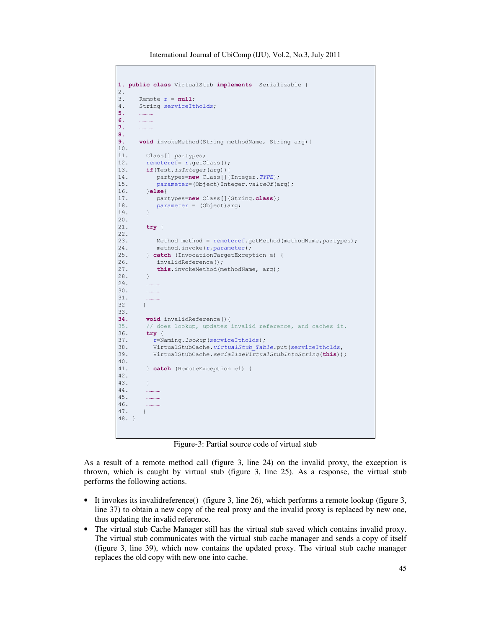International Journal of UbiComp (IJU), Vol.2, No.3, July 2011

```
1. public class VirtualStub implements Serializable {
2.
3. Remote r = null;
4. String serviceItholds;
5<sub>l</sub>6. …………
7. …………
8.
9. void invokeMethod(String methodName, String arg) {
10.
11. Class[] partypes;
12. remoteref= r.getClass();
13. if(Test.isInteger(arg)){
14. partypes=new Class[]{Integer.TYPE};<br>15. parameter=(Object)Integer.valueOf(a
15. parameter=(Object)Integer.valueOf(arg);<br>16. else{
         16. }else{
17. partypes=new Class[]{String.class};<br>18. parameter = (Object)arg;
            parameter = (Object) arg;19. }
20.
21. try {
22.
23. Method method = remoteref.getMethod(methodName,partypes);<br>24. method.invoke(r,parameter);
            method.invoke(r, parameter);
25. } catch (InvocationTargetException e) {
26. invalidReference();
27. this.invokeMethod(methodName, arg);
28. }
29. …………
30.31.32 }
33.
34. void invalidReference(){<br>35. // does lookup, updates
         // does lookup, updates invalid reference, and caches it.
36. try {
37. r=Naming.lookup(serviceItholds);
38. VirtualStubCache.virtualStub_Table.put(serviceItholds,<br>39. VirtualStubCache.serializeVirtualStubIntoString(this))
          VirtualStubCache.serializeVirtualStubIntoString(this));
40.
41. } catch (RemoteException e1) {
42.
43. }
44. …………
45. …………
46. …………
47. }
48. }
```
Figure-3: Partial source code of virtual stub

As a result of a remote method call (figure 3, line 24) on the invalid proxy, the exception is thrown, which is caught by virtual stub (figure 3, line 25). As a response, the virtual stub performs the following actions.

- It invokes its invalidreference() (figure 3, line 26), which performs a remote lookup (figure 3, line 37) to obtain a new copy of the real proxy and the invalid proxy is replaced by new one, thus updating the invalid reference.
- The virtual stub Cache Manager still has the virtual stub saved which contains invalid proxy. The virtual stub communicates with the virtual stub cache manager and sends a copy of itself (figure 3, line 39), which now contains the updated proxy. The virtual stub cache manager replaces the old copy with new one into cache.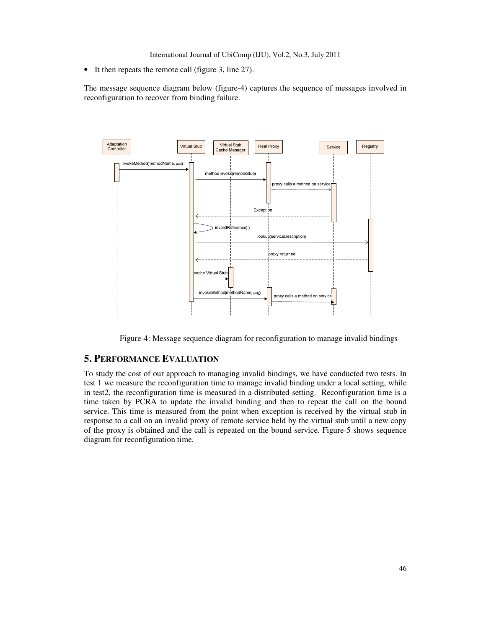• It then repeats the remote call (figure 3, line 27).

The message sequence diagram below (figure-4) captures the sequence of messages involved in reconfiguration to recover from binding failure.



Figure-4: Message sequence diagram for reconfiguration to manage invalid bindings

# **5. PERFORMANCE EVALUATION**

To study the cost of our approach to managing invalid bindings, we have conducted two tests. In test 1 we measure the reconfiguration time to manage invalid binding under a local setting, while in test2, the reconfiguration time is measured in a distributed setting. Reconfiguration time is a time taken by PCRA to update the invalid binding and then to repeat the call on the bound service. This time is measured from the point when exception is received by the virtual stub in response to a call on an invalid proxy of remote service held by the virtual stub until a new copy of the proxy is obtained and the call is repeated on the bound service. Figure-5 shows sequence diagram for reconfiguration time.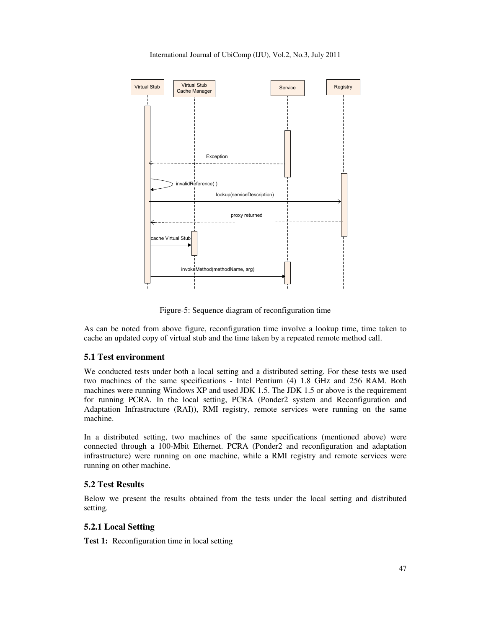International Journal of UbiComp (IJU), Vol.2, No.3, July 2011



Figure-5: Sequence diagram of reconfiguration time

As can be noted from above figure, reconfiguration time involve a lookup time, time taken to cache an updated copy of virtual stub and the time taken by a repeated remote method call.

#### **5.1 Test environment**

We conducted tests under both a local setting and a distributed setting. For these tests we used two machines of the same specifications - Intel Pentium (4) 1.8 GHz and 256 RAM. Both machines were running Windows XP and used JDK 1.5. The JDK 1.5 or above is the requirement for running PCRA. In the local setting, PCRA (Ponder2 system and Reconfiguration and Adaptation Infrastructure (RAI)), RMI registry, remote services were running on the same machine.

In a distributed setting, two machines of the same specifications (mentioned above) were connected through a 100-Mbit Ethernet. PCRA (Ponder2 and reconfiguration and adaptation infrastructure) were running on one machine, while a RMI registry and remote services were running on other machine.

#### **5.2 Test Results**

Below we present the results obtained from the tests under the local setting and distributed setting.

## **5.2.1 Local Setting**

**Test 1:** Reconfiguration time in local setting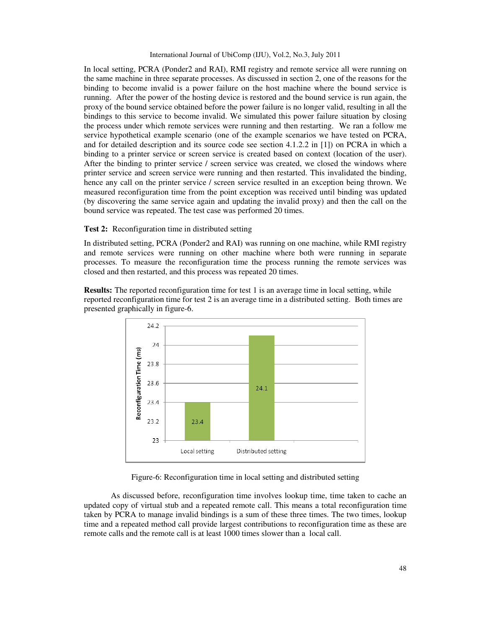In local setting, PCRA (Ponder2 and RAI), RMI registry and remote service all were running on the same machine in three separate processes. As discussed in section 2, one of the reasons for the binding to become invalid is a power failure on the host machine where the bound service is running. After the power of the hosting device is restored and the bound service is run again, the proxy of the bound service obtained before the power failure is no longer valid, resulting in all the bindings to this service to become invalid. We simulated this power failure situation by closing the process under which remote services were running and then restarting. We ran a follow me service hypothetical example scenario (one of the example scenarios we have tested on PCRA, and for detailed description and its source code see section 4.1.2.2 in [1]) on PCRA in which a binding to a printer service or screen service is created based on context (location of the user). After the binding to printer service / screen service was created, we closed the windows where printer service and screen service were running and then restarted. This invalidated the binding, hence any call on the printer service / screen service resulted in an exception being thrown. We measured reconfiguration time from the point exception was received until binding was updated (by discovering the same service again and updating the invalid proxy) and then the call on the bound service was repeated. The test case was performed 20 times.

#### **Test 2:** Reconfiguration time in distributed setting

In distributed setting, PCRA (Ponder2 and RAI) was running on one machine, while RMI registry and remote services were running on other machine where both were running in separate processes. To measure the reconfiguration time the process running the remote services was closed and then restarted, and this process was repeated 20 times.

**Results:** The reported reconfiguration time for test 1 is an average time in local setting, while reported reconfiguration time for test 2 is an average time in a distributed setting. Both times are presented graphically in figure-6.



Figure-6: Reconfiguration time in local setting and distributed setting

 As discussed before, reconfiguration time involves lookup time, time taken to cache an updated copy of virtual stub and a repeated remote call. This means a total reconfiguration time taken by PCRA to manage invalid bindings is a sum of these three times. The two times, lookup time and a repeated method call provide largest contributions to reconfiguration time as these are remote calls and the remote call is at least 1000 times slower than a local call.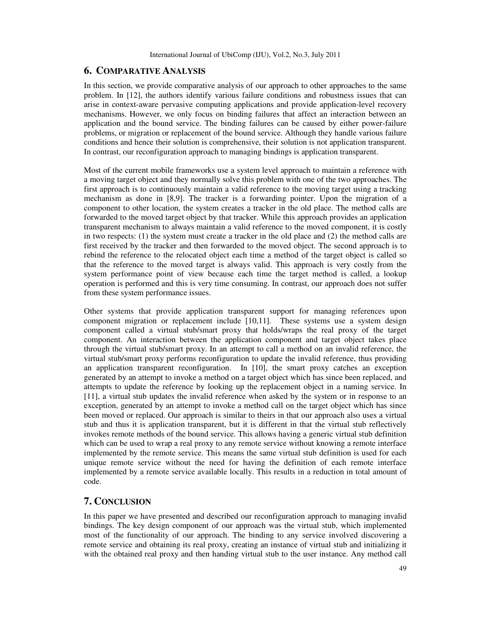## **6. COMPARATIVE ANALYSIS**

In this section, we provide comparative analysis of our approach to other approaches to the same problem. In [12], the authors identify various failure conditions and robustness issues that can arise in context-aware pervasive computing applications and provide application-level recovery mechanisms. However, we only focus on binding failures that affect an interaction between an application and the bound service. The binding failures can be caused by either power-failure problems, or migration or replacement of the bound service. Although they handle various failure conditions and hence their solution is comprehensive, their solution is not application transparent. In contrast, our reconfiguration approach to managing bindings is application transparent.

Most of the current mobile frameworks use a system level approach to maintain a reference with a moving target object and they normally solve this problem with one of the two approaches. The first approach is to continuously maintain a valid reference to the moving target using a tracking mechanism as done in [8,9]. The tracker is a forwarding pointer. Upon the migration of a component to other location, the system creates a tracker in the old place. The method calls are forwarded to the moved target object by that tracker. While this approach provides an application transparent mechanism to always maintain a valid reference to the moved component, it is costly in two respects: (1) the system must create a tracker in the old place and (2) the method calls are first received by the tracker and then forwarded to the moved object. The second approach is to rebind the reference to the relocated object each time a method of the target object is called so that the reference to the moved target is always valid. This approach is very costly from the system performance point of view because each time the target method is called, a lookup operation is performed and this is very time consuming. In contrast, our approach does not suffer from these system performance issues.

Other systems that provide application transparent support for managing references upon component migration or replacement include [10,11]. These systems use a system design component called a virtual stub/smart proxy that holds/wraps the real proxy of the target component. An interaction between the application component and target object takes place through the virtual stub/smart proxy. In an attempt to call a method on an invalid reference, the virtual stub/smart proxy performs reconfiguration to update the invalid reference, thus providing an application transparent reconfiguration. In [10], the smart proxy catches an exception generated by an attempt to invoke a method on a target object which has since been replaced, and attempts to update the reference by looking up the replacement object in a naming service. In [11], a virtual stub updates the invalid reference when asked by the system or in response to an exception, generated by an attempt to invoke a method call on the target object which has since been moved or replaced. Our approach is similar to theirs in that our approach also uses a virtual stub and thus it is application transparent, but it is different in that the virtual stub reflectively invokes remote methods of the bound service. This allows having a generic virtual stub definition which can be used to wrap a real proxy to any remote service without knowing a remote interface implemented by the remote service. This means the same virtual stub definition is used for each unique remote service without the need for having the definition of each remote interface implemented by a remote service available locally. This results in a reduction in total amount of code.

### **7. CONCLUSION**

In this paper we have presented and described our reconfiguration approach to managing invalid bindings. The key design component of our approach was the virtual stub, which implemented most of the functionality of our approach. The binding to any service involved discovering a remote service and obtaining its real proxy, creating an instance of virtual stub and initializing it with the obtained real proxy and then handing virtual stub to the user instance. Any method call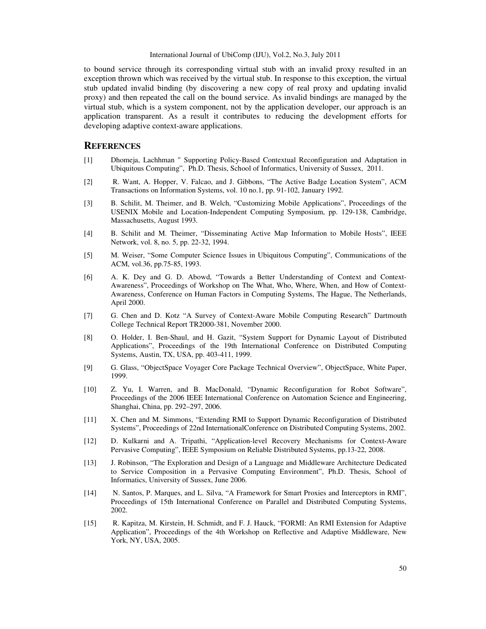to bound service through its corresponding virtual stub with an invalid proxy resulted in an exception thrown which was received by the virtual stub. In response to this exception, the virtual stub updated invalid binding (by discovering a new copy of real proxy and updating invalid proxy) and then repeated the call on the bound service. As invalid bindings are managed by the virtual stub, which is a system component, not by the application developer, our approach is an application transparent. As a result it contributes to reducing the development efforts for developing adaptive context-aware applications.

#### **REFERENCES**

- [1] Dhomeja, Lachhman " Supporting Policy-Based Contextual Reconfiguration and Adaptation in Ubiquitous Computing", Ph.D. Thesis, School of Informatics, University of Sussex, 2011.
- [2] R. Want, A. Hopper, V. Falcao, and J. Gibbons, "The Active Badge Location System", ACM Transactions on Information Systems, vol. 10 no.1, pp. 91-102, January 1992.
- [3] B. Schilit, M. Theimer, and B. Welch, "Customizing Mobile Applications", Proceedings of the USENIX Mobile and Location-Independent Computing Symposium, pp. 129-138, Cambridge, Massachusetts, August 1993.
- [4] B. Schilit and M. Theimer, "Disseminating Active Map Information to Mobile Hosts", IEEE Network, vol. 8, no. 5, pp. 22-32, 1994.
- [5] M. Weiser, "Some Computer Science Issues in Ubiquitous Computing", Communications of the ACM, vol.36, pp.75-85, 1993.
- [6] A. K. Dey and G. D. Abowd, "Towards a Better Understanding of Context and Context-Awareness", Proceedings of Workshop on The What, Who, Where, When, and How of Context-Awareness, Conference on Human Factors in Computing Systems, The Hague, The Netherlands, April 2000.
- [7] G. Chen and D. Kotz "A Survey of Context-Aware Mobile Computing Research" Dartmouth College Technical Report TR2000-381, November 2000.
- [8] O. Holder, I. Ben-Shaul, and H. Gazit, "System Support for Dynamic Layout of Distributed Applications", Proceedings of the 19th International Conference on Distributed Computing Systems, Austin, TX, USA, pp. 403-411, 1999.
- [9] G. Glass, "ObjectSpace Voyager Core Package Technical Overview", ObjectSpace, White Paper, 1999.
- [10] Z. Yu, I. Warren, and B. MacDonald, "Dynamic Reconfiguration for Robot Software", Proceedings of the 2006 IEEE International Conference on Automation Science and Engineering, Shanghai, China, pp. 292–297, 2006.
- [11] X. Chen and M. Simmons, "Extending RMI to Support Dynamic Reconfiguration of Distributed Systems", Proceedings of 22nd InternationalConference on Distributed Computing Systems, 2002.
- [12] D. Kulkarni and A. Tripathi, "Application-level Recovery Mechanisms for Context-Aware Pervasive Computing", IEEE Symposium on Reliable Distributed Systems, pp.13-22, 2008.
- [13] J. Robinson, "The Exploration and Design of a Language and Middleware Architecture Dedicated to Service Composition in a Pervasive Computing Environment", Ph.D. Thesis, School of Informatics, University of Sussex, June 2006.
- [14] N. Santos, P. Marques, and L. Silva, "A Framework for Smart Proxies and Interceptors in RMI", Proceedings of 15th International Conference on Parallel and Distributed Computing Systems, 2002.
- [15] R. Kapitza, M. Kirstein, H. Schmidt, and F. J. Hauck, "FORMI: An RMI Extension for Adaptive Application", Proceedings of the 4th Workshop on Reflective and Adaptive Middleware, New York, NY, USA, 2005.